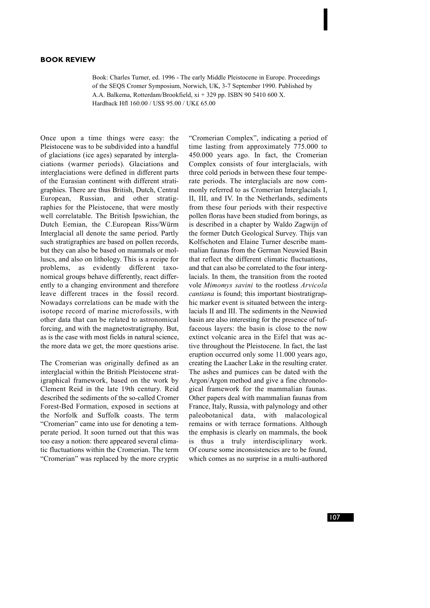## **BOOK REVIEW**

Book: Charles Turner, ed. 1996 - The early Middle Pleistocene in Europe. Proceedings of the SEQS Cromer Symposium, Norwich, UK, 3-7 September 1990. Published by A.A. Balkema, Rotterdam/Brookfield, xi + 329 pp. ISBN 90 5410 600 X. Hardback Hfl 160.00 / US\$ 95.00 / UK£ 65.00

Once upon a time things were easy: the Pleistocene was to be subdivided into a handful of glaciations (ice ages) separated by interglaciations (warmer periods). Glaciations and interglaciations were defined in different parts of the Eurasian continent with different stratigraphies. There are thus British, Dutch, Central European, Russian, and other stratigraphies for the Pleistocene, that were mostly well correlatable. The British Ipswichian, the Dutch Eemian, the C.European Riss/Würm Interglacial all denote the same period. Partly such stratigraphies are based on pollen records, but they can also be based on mammals or molluscs, and also on lithology. This is a recipe for problems, as evidently different taxonomical groups behave differently, react differently to a changing environment and therefore leave different traces in the fossil record. Nowadays correlations can be made with the isotope record of marine microfossils, with other data that can be related to astronomical forcing, and with the magnetostratigraphy. But, as is the case with most fields in natural science, the more data we get, the more questions arise.

The Cromerian was originally defined as an interglacial within the British Pleistocene stratigraphical framework, based on the work by Clement Reid in the late 19th century. Reid described the sediments of the so-called Cromer Forest-Bed Formation, exposed in sections at the Norfolk and Suffolk coasts. The term "Cromerian" came into use for denoting a temperate period. It soon turned out that this was too easy a notion: there appeared several climatic fluctuations within the Cromerian. The term "Cromerian" was replaced by the more cryptic

"Cromerian Complex", indicating a period of time lasting from approximately 775.000 to 450.000 years ago. In fact, the Cromerian Complex consists of four interglacials, with three cold periods in between these four temperate periods. The interglacials are now commonly referred to as Cromerian Interglacials I, II, III, and IV. In the Netherlands, sediments from these four periods with their respective pollen floras have been studied from borings, as is described in a chapter by Waldo Zagwijn of the former Dutch Geological Survey. Thijs van Kolfschoten and Elaine Turner describe mammalian faunas from the German Neuwied Basin that reflect the different climatic fluctuations, and that can also be correlated to the four interglacials. In them, the transition from the rooted vole *Mimomys savini* to the rootless *Arvicola cantiana* is found; this important biostratigraphic marker event is situated between the interglacials II and III. The sediments in the Neuwied basin are also interesting for the presence of tuffaceous layers: the basin is close to the now extinct volcanic area in the Eifel that was active throughout the Pleistocene. In fact, the last eruption occurred only some 11.000 years ago, creating the Laacher Lake in the resulting crater. The ashes and pumices can be dated with the Argon/Argon method and give a fine chronological framework for the mammalian faunas. Other papers deal with mammalian faunas from France, Italy, Russia, with palynology and other paleobotanical data, with malacological remains or with terrace formations. Although the emphasis is clearly on mammals, the book is thus a truly interdisciplinary work. Of course some inconsistencies are to be found, which comes as no surprise in a multi-authored

107